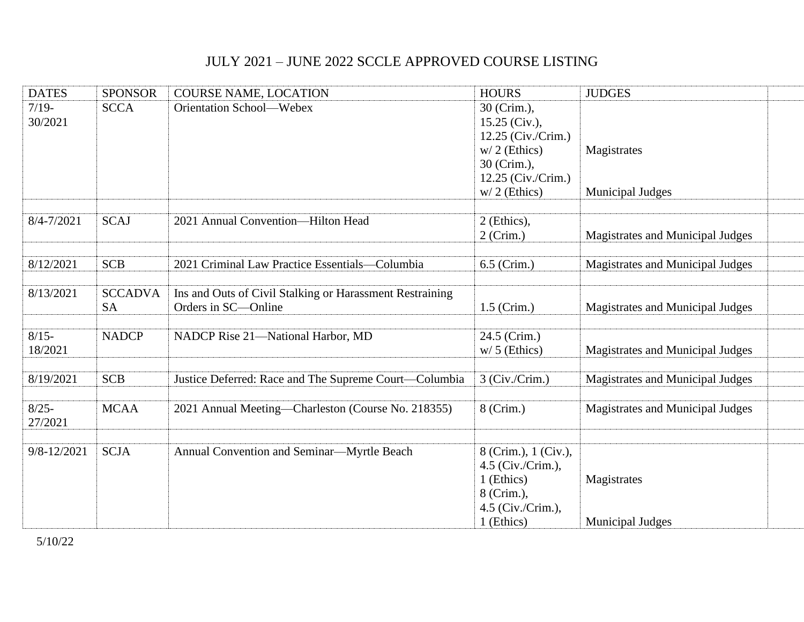## JULY 2021 – JUNE 2022 SCCLE APPROVED COURSE LISTING

| <b>DATES</b>        | <b>SPONSOR</b> | <b>COURSE NAME, LOCATION</b>                             | <b>HOURS</b>         | <b>JUDGES</b>                    |  |
|---------------------|----------------|----------------------------------------------------------|----------------------|----------------------------------|--|
| $7/19-$             | <b>SCCA</b>    | Orientation School-Webex                                 | 30 (Crim.),          |                                  |  |
| 30/2021             |                |                                                          | $15.25$ (Civ.),      |                                  |  |
|                     |                |                                                          | 12.25 (Civ./Crim.)   |                                  |  |
|                     |                |                                                          | $w/2$ (Ethics)       | Magistrates                      |  |
|                     |                |                                                          | 30 (Crim.),          |                                  |  |
|                     |                |                                                          | 12.25 (Civ./Crim.)   |                                  |  |
|                     |                |                                                          | $w/2$ (Ethics)       | <b>Municipal Judges</b>          |  |
| $8/4 - 7/2021$      | <b>SCAJ</b>    | 2021 Annual Convention-Hilton Head                       | 2 (Ethics),          |                                  |  |
|                     |                |                                                          | $2$ (Crim.)          | Magistrates and Municipal Judges |  |
|                     |                |                                                          |                      |                                  |  |
| 8/12/2021           | <b>SCB</b>     | 2021 Criminal Law Practice Essentials-Columbia           | 6.5 (Crim.)          | Magistrates and Municipal Judges |  |
|                     |                |                                                          |                      |                                  |  |
| 8/13/2021           | <b>SCCADVA</b> | Ins and Outs of Civil Stalking or Harassment Restraining |                      |                                  |  |
|                     | <b>SA</b>      | Orders in SC-Online                                      | $1.5$ (Crim.)        | Magistrates and Municipal Judges |  |
|                     |                |                                                          |                      |                                  |  |
| $8/15 -$            | <b>NADCP</b>   | NADCP Rise 21-National Harbor, MD                        | 24.5 (Crim.)         |                                  |  |
| 18/2021             |                |                                                          | $w/5$ (Ethics)       | Magistrates and Municipal Judges |  |
|                     |                |                                                          |                      |                                  |  |
| 8/19/2021           | <b>SCB</b>     | Justice Deferred: Race and The Supreme Court-Columbia    | 3 (Civ./Crim.)       | Magistrates and Municipal Judges |  |
|                     |                |                                                          |                      |                                  |  |
| $8/25 -$<br>27/2021 | <b>MCAA</b>    | 2021 Annual Meeting-Charleston (Course No. 218355)       | 8 (Crim.)            | Magistrates and Municipal Judges |  |
|                     |                |                                                          |                      |                                  |  |
| 9/8-12/2021         | <b>SCJA</b>    | Annual Convention and Seminar-Myrtle Beach               | 8 (Crim.), 1 (Civ.), |                                  |  |
|                     |                |                                                          | $4.5$ (Civ./Crim.),  |                                  |  |
|                     |                |                                                          | 1 (Ethics)           | Magistrates                      |  |
|                     |                |                                                          | 8 (Crim.),           |                                  |  |
|                     |                |                                                          | 4.5 (Civ./Crim.),    |                                  |  |
|                     |                |                                                          | 1 (Ethics)           | <b>Municipal Judges</b>          |  |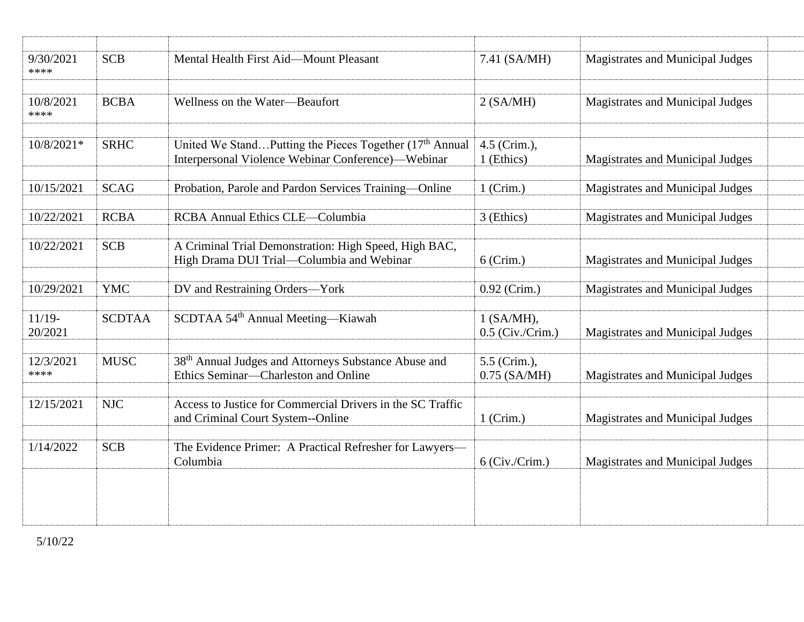| 9/30/2021<br>****   | <b>SCB</b>    | Mental Health First Aid-Mount Pleasant                                                                                    | 7.41 (SA/MH)                       | Magistrates and Municipal Judges |
|---------------------|---------------|---------------------------------------------------------------------------------------------------------------------------|------------------------------------|----------------------------------|
| 10/8/2021<br>****   | <b>BCBA</b>   | Wellness on the Water-Beaufort                                                                                            | 2 (SA/MH)                          | Magistrates and Municipal Judges |
| $10/8/2021*$        | <b>SRHC</b>   | United We StandPutting the Pieces Together (17 <sup>th</sup> Annual<br>Interpersonal Violence Webinar Conference)-Webinar | 4.5 (Crim.),<br>1 (Ethics)         | Magistrates and Municipal Judges |
| 10/15/2021          | <b>SCAG</b>   | Probation, Parole and Pardon Services Training-Online                                                                     | $1$ (Crim.)                        | Magistrates and Municipal Judges |
| 10/22/2021          | <b>RCBA</b>   | <b>RCBA Annual Ethics CLE-Columbia</b>                                                                                    | 3 (Ethics)                         | Magistrates and Municipal Judges |
| 10/22/2021          | <b>SCB</b>    | A Criminal Trial Demonstration: High Speed, High BAC,<br>High Drama DUI Trial-Columbia and Webinar                        | $6$ (Crim.)                        | Magistrates and Municipal Judges |
| 10/29/2021          | <b>YMC</b>    | DV and Restraining Orders-York                                                                                            | 0.92 (Crim.)                       | Magistrates and Municipal Judges |
| $11/19-$<br>20/2021 | <b>SCDTAA</b> | SCDTAA 54 <sup>th</sup> Annual Meeting-Kiawah                                                                             | $1$ (SA/MH),<br>$0.5$ (Civ./Crim.) | Magistrates and Municipal Judges |
| 12/3/2021<br>****   | <b>MUSC</b>   | 38 <sup>th</sup> Annual Judges and Attorneys Substance Abuse and<br>Ethics Seminar-Charleston and Online                  | 5.5 (Crim.),<br>$0.75$ (SA/MH)     | Magistrates and Municipal Judges |
| 12/15/2021          | <b>NJC</b>    | Access to Justice for Commercial Drivers in the SC Traffic<br>and Criminal Court System--Online                           | $1$ (Crim.)                        | Magistrates and Municipal Judges |
| 1/14/2022           | <b>SCB</b>    | The Evidence Primer: A Practical Refresher for Lawyers-<br>Columbia                                                       | $6$ (Civ./Crim.)                   | Magistrates and Municipal Judges |
|                     |               |                                                                                                                           |                                    |                                  |
|                     |               |                                                                                                                           |                                    |                                  |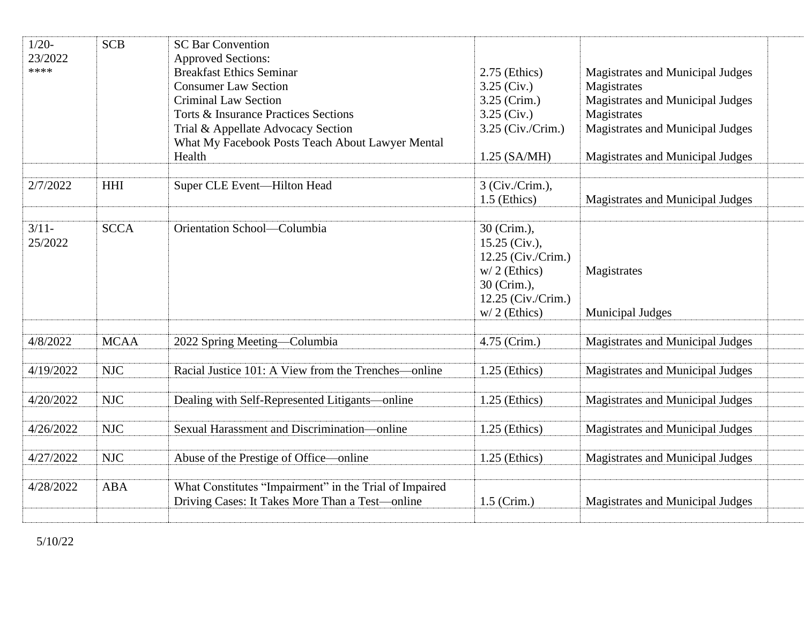| $1/20-$<br>23/2022<br>**** | <b>SCB</b>  | <b>SC Bar Convention</b><br><b>Approved Sections:</b><br><b>Breakfast Ethics Seminar</b><br><b>Consumer Law Section</b><br><b>Criminal Law Section</b><br><b>Torts &amp; Insurance Practices Sections</b><br>Trial & Appellate Advocacy Section<br>What My Facebook Posts Teach About Lawyer Mental<br>Health | $2.75$ (Ethics)<br>$3.25$ (Civ.)<br>3.25 (Crim.)<br>$3.25$ (Civ.)<br>3.25 (Civ./Crim.)<br>$1.25$ (SA/MH)                    | Magistrates and Municipal Judges<br>Magistrates<br>Magistrates and Municipal Judges<br>Magistrates<br>Magistrates and Municipal Judges<br>Magistrates and Municipal Judges |
|----------------------------|-------------|---------------------------------------------------------------------------------------------------------------------------------------------------------------------------------------------------------------------------------------------------------------------------------------------------------------|-----------------------------------------------------------------------------------------------------------------------------|----------------------------------------------------------------------------------------------------------------------------------------------------------------------------|
| 2/7/2022                   | <b>HHI</b>  | Super CLE Event-Hilton Head                                                                                                                                                                                                                                                                                   | 3 (Civ./Crim.),<br>$1.5$ (Ethics)                                                                                           | Magistrates and Municipal Judges                                                                                                                                           |
| $3/11-$<br>25/2022         | <b>SCCA</b> | Orientation School-Columbia                                                                                                                                                                                                                                                                                   | 30 (Crim.),<br>15.25 (Civ.),<br>12.25 (Civ./Crim.)<br>$w/2$ (Ethics)<br>30 (Crim.),<br>12.25 (Civ./Crim.)<br>$w/2$ (Ethics) | Magistrates<br><b>Municipal Judges</b>                                                                                                                                     |
| 4/8/2022                   | <b>MCAA</b> | 2022 Spring Meeting—Columbia                                                                                                                                                                                                                                                                                  | 4.75 (Crim.)                                                                                                                | Magistrates and Municipal Judges                                                                                                                                           |
| 4/19/2022                  | <b>NJC</b>  | Racial Justice 101: A View from the Trenches—online                                                                                                                                                                                                                                                           | $1.25$ (Ethics)                                                                                                             | Magistrates and Municipal Judges                                                                                                                                           |
| 4/20/2022                  | <b>NJC</b>  | Dealing with Self-Represented Litigants-online                                                                                                                                                                                                                                                                | $1.25$ (Ethics)                                                                                                             | Magistrates and Municipal Judges                                                                                                                                           |
| 4/26/2022                  | <b>NJC</b>  | Sexual Harassment and Discrimination-online                                                                                                                                                                                                                                                                   | $1.25$ (Ethics)                                                                                                             | Magistrates and Municipal Judges                                                                                                                                           |
| 4/27/2022                  | <b>NJC</b>  | Abuse of the Prestige of Office—online                                                                                                                                                                                                                                                                        | $1.25$ (Ethics)                                                                                                             | Magistrates and Municipal Judges                                                                                                                                           |
| 4/28/2022                  | <b>ABA</b>  | What Constitutes "Impairment" in the Trial of Impaired<br>Driving Cases: It Takes More Than a Test-online                                                                                                                                                                                                     | $1.5$ (Crim.)                                                                                                               | Magistrates and Municipal Judges                                                                                                                                           |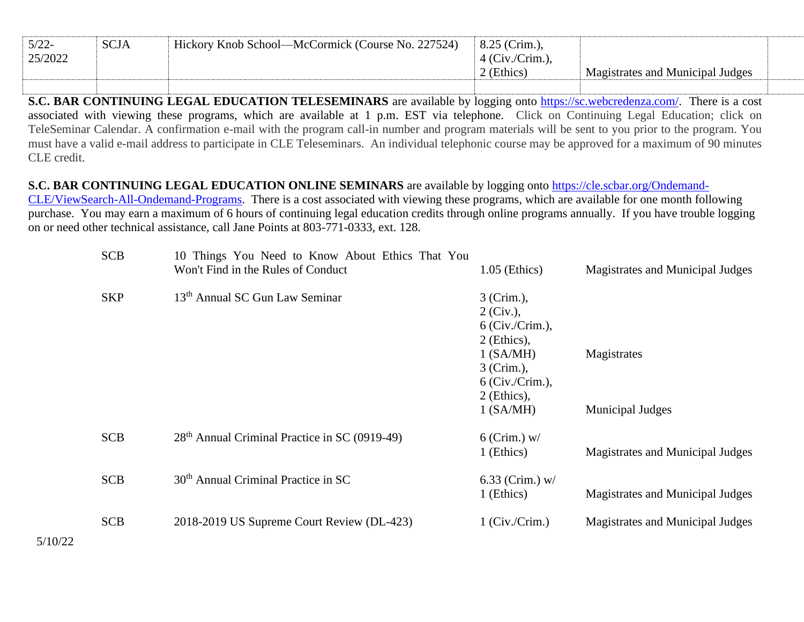| $5/22$ - | <b>SCJA</b> | Hickory Knob School—McCormick (Course No. 227524) | $8.25$ (Crim.),       |                                  |  |
|----------|-------------|---------------------------------------------------|-----------------------|----------------------------------|--|
| 25/2022  |             |                                                   | $\pm$ 4 (Civ./Crim.), |                                  |  |
|          |             |                                                   | ' (Ethics)            | Magistrates and Municipal Judges |  |
|          |             |                                                   |                       |                                  |  |

**S.C. BAR CONTINUING LEGAL EDUCATION TELESEMINARS** are available by logging onto [https://sc.webcredenza.com/.](https://urldefense.com/v3/__https:/sc.webcredenza.com/__;!!JHVHxrUang!Hasuz_BRaGkUxz73iuSBaxPqmY5W0isW5681Q5u7Rf3r_g0y08ParH1T-YJG8fFs$) There is a cost associated with viewing these programs, which are available at 1 p.m. EST via telephone. Click on Continuing Legal Education; click on TeleSeminar Calendar. A confirmation e-mail with the program call-in number and program materials will be sent to you prior to the program. You must have a valid e-mail address to participate in CLE Teleseminars. An individual telephonic course may be approved for a maximum of 90 minutes CLE credit.

## **S.C. BAR CONTINUING LEGAL EDUCATION ONLINE SEMINARS** are available by logging onto [https://cle.scbar.org/Ondemand-](https://urldefense.com/v3/__https:/cle.scbar.org/Ondemand-CLE/ViewSearch-All-Ondemand-Programs__;!!JHVHxrUang!Hasuz_BRaGkUxz73iuSBaxPqmY5W0isW5681Q5u7Rf3r_g0y08ParH1T-fV0BPF3$)

[CLE/ViewSearch-All-Ondemand-Programs.](https://urldefense.com/v3/__https:/cle.scbar.org/Ondemand-CLE/ViewSearch-All-Ondemand-Programs__;!!JHVHxrUang!Hasuz_BRaGkUxz73iuSBaxPqmY5W0isW5681Q5u7Rf3r_g0y08ParH1T-fV0BPF3$) There is a cost associated with viewing these programs, which are available for one month following purchase. You may earn a maximum of 6 hours of continuing legal education credits through online programs annually. If you have trouble logging on or need other technical assistance, call Jane Points at 803-771-0333, ext. 128.

| <b>SCB</b> | 10 Things You Need to Know About Ethics That You<br>Won't Find in the Rules of Conduct | $1.05$ (Ethics)                                                            | Magistrates and Municipal Judges       |
|------------|----------------------------------------------------------------------------------------|----------------------------------------------------------------------------|----------------------------------------|
| <b>SKP</b> | 13 <sup>th</sup> Annual SC Gun Law Seminar                                             | 3 (Crim.),<br>$2$ (Civ.),<br>6 (Civ./Crim.),<br>$2$ (Ethics),              |                                        |
|            |                                                                                        | 1 (SA/MH)<br>3 (Crim.),<br>$6$ (Civ./Crim.),<br>2 (Ethics),<br>$1$ (SA/MH) | Magistrates<br><b>Municipal Judges</b> |
| <b>SCB</b> | 28 <sup>th</sup> Annual Criminal Practice in SC (0919-49)                              | $6$ (Crim.) w/<br>1 (Ethics)                                               | Magistrates and Municipal Judges       |
| <b>SCB</b> | 30 <sup>th</sup> Annual Criminal Practice in SC                                        | 6.33 (Crim.) $w/$<br>1 (Ethics)                                            | Magistrates and Municipal Judges       |
| <b>SCB</b> | 2018-2019 US Supreme Court Review (DL-423)                                             | $1$ (Civ./Crim.)                                                           | Magistrates and Municipal Judges       |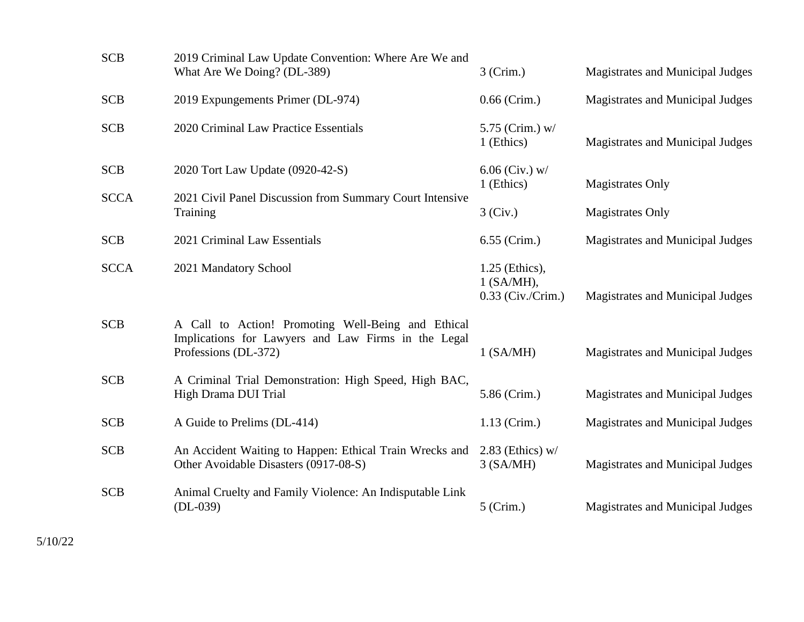| <b>SCB</b>  | 2019 Criminal Law Update Convention: Where Are We and<br>What Are We Doing? (DL-389)                                              | $3$ (Crim.)                                           | Magistrates and Municipal Judges |
|-------------|-----------------------------------------------------------------------------------------------------------------------------------|-------------------------------------------------------|----------------------------------|
| <b>SCB</b>  | 2019 Expungements Primer (DL-974)                                                                                                 | $0.66$ (Crim.)                                        | Magistrates and Municipal Judges |
| <b>SCB</b>  | 2020 Criminal Law Practice Essentials                                                                                             | 5.75 (Crim.) w/<br>1 (Ethics)                         | Magistrates and Municipal Judges |
| <b>SCB</b>  | 2020 Tort Law Update (0920-42-S)                                                                                                  | $6.06$ (Civ.) w/<br>1 (Ethics)                        | <b>Magistrates Only</b>          |
| <b>SCCA</b> | 2021 Civil Panel Discussion from Summary Court Intensive<br>Training                                                              | 3 (Civ.)                                              | <b>Magistrates Only</b>          |
| <b>SCB</b>  | 2021 Criminal Law Essentials                                                                                                      | 6.55 (Crim.)                                          | Magistrates and Municipal Judges |
| <b>SCCA</b> | 2021 Mandatory School                                                                                                             | 1.25 (Ethics),<br>$1$ (SA/MH),<br>$0.33$ (Civ./Crim.) | Magistrates and Municipal Judges |
| <b>SCB</b>  | A Call to Action! Promoting Well-Being and Ethical<br>Implications for Lawyers and Law Firms in the Legal<br>Professions (DL-372) | $1$ (SA/MH)                                           | Magistrates and Municipal Judges |
| <b>SCB</b>  | A Criminal Trial Demonstration: High Speed, High BAC,<br>High Drama DUI Trial                                                     | 5.86 (Crim.)                                          | Magistrates and Municipal Judges |
| <b>SCB</b>  | A Guide to Prelims (DL-414)                                                                                                       | $1.13$ (Crim.)                                        | Magistrates and Municipal Judges |
| <b>SCB</b>  | An Accident Waiting to Happen: Ethical Train Wrecks and<br>Other Avoidable Disasters (0917-08-S)                                  | $2.83$ (Ethics) w/<br>$3$ (SA/MH)                     | Magistrates and Municipal Judges |
| <b>SCB</b>  | Animal Cruelty and Family Violence: An Indisputable Link<br>$(DL-039)$                                                            | $5$ (Crim.)                                           | Magistrates and Municipal Judges |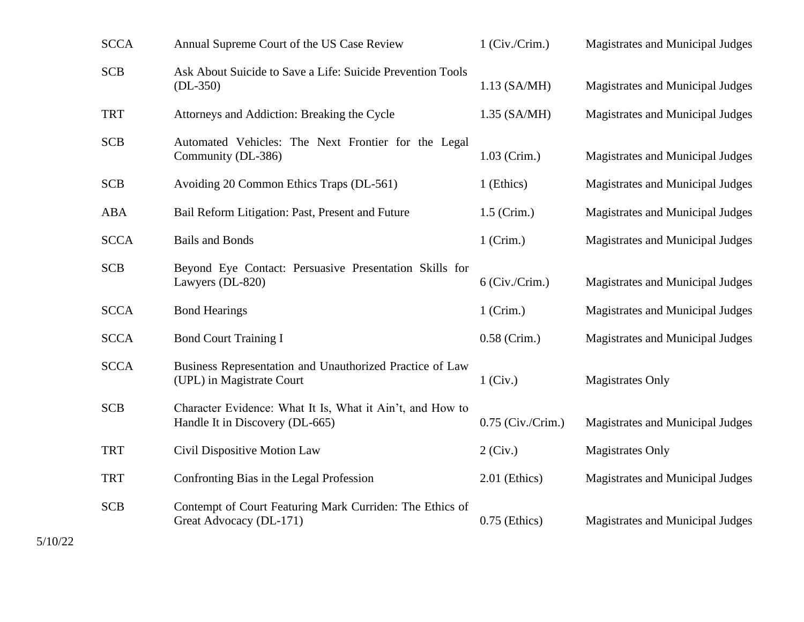| <b>SCCA</b> | Annual Supreme Court of the US Case Review                                                   | $1$ (Civ./Crim.)    | Magistrates and Municipal Judges |
|-------------|----------------------------------------------------------------------------------------------|---------------------|----------------------------------|
| <b>SCB</b>  | Ask About Suicide to Save a Life: Suicide Prevention Tools<br>$(DL-350)$                     | $1.13$ (SA/MH)      | Magistrates and Municipal Judges |
| <b>TRT</b>  | Attorneys and Addiction: Breaking the Cycle                                                  | $1.35$ (SA/MH)      | Magistrates and Municipal Judges |
| <b>SCB</b>  | Automated Vehicles: The Next Frontier for the Legal<br>Community (DL-386)                    | $1.03$ (Crim.)      | Magistrates and Municipal Judges |
| <b>SCB</b>  | Avoiding 20 Common Ethics Traps (DL-561)                                                     | 1 (Ethics)          | Magistrates and Municipal Judges |
| <b>ABA</b>  | Bail Reform Litigation: Past, Present and Future                                             | $1.5$ (Crim.)       | Magistrates and Municipal Judges |
| <b>SCCA</b> | <b>Bails and Bonds</b>                                                                       | $1$ (Crim.)         | Magistrates and Municipal Judges |
| <b>SCB</b>  | Beyond Eye Contact: Persuasive Presentation Skills for<br>Lawyers (DL-820)                   | $6$ (Civ./Crim.)    | Magistrates and Municipal Judges |
| <b>SCCA</b> | <b>Bond Hearings</b>                                                                         | $1$ (Crim.)         | Magistrates and Municipal Judges |
| <b>SCCA</b> | <b>Bond Court Training I</b>                                                                 | $0.58$ (Crim.)      | Magistrates and Municipal Judges |
| <b>SCCA</b> | Business Representation and Unauthorized Practice of Law<br>(UPL) in Magistrate Court        | $1$ (Civ.)          | <b>Magistrates Only</b>          |
| <b>SCB</b>  | Character Evidence: What It Is, What it Ain't, and How to<br>Handle It in Discovery (DL-665) | $0.75$ (Civ./Crim.) | Magistrates and Municipal Judges |
| <b>TRT</b>  | Civil Dispositive Motion Law                                                                 | $2$ (Civ.)          | <b>Magistrates Only</b>          |
| <b>TRT</b>  | Confronting Bias in the Legal Profession                                                     | 2.01 (Ethics)       | Magistrates and Municipal Judges |
| <b>SCB</b>  | Contempt of Court Featuring Mark Curriden: The Ethics of<br>Great Advocacy (DL-171)          | $0.75$ (Ethics)     | Magistrates and Municipal Judges |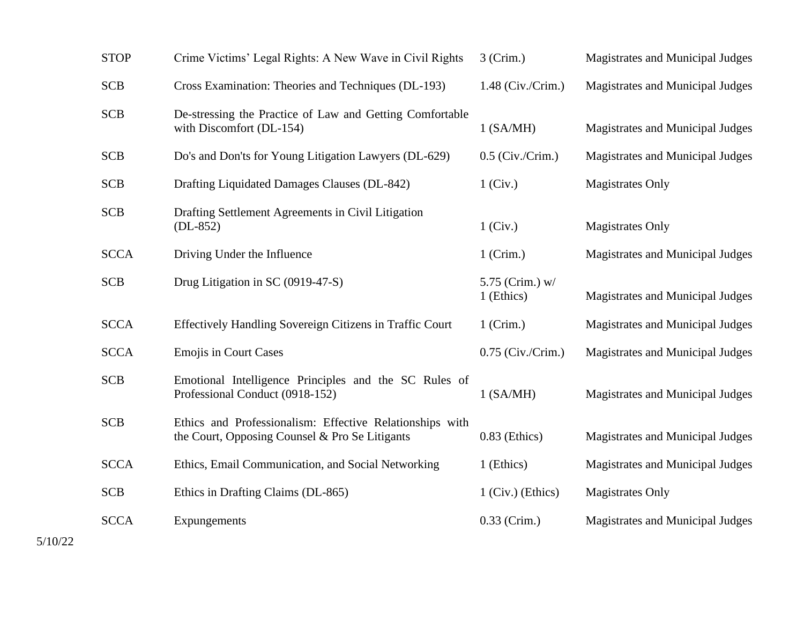| <b>STOP</b> | Crime Victims' Legal Rights: A New Wave in Civil Rights                                                    | $3$ (Crim.)                   | <b>Magistrates and Municipal Judges</b> |
|-------------|------------------------------------------------------------------------------------------------------------|-------------------------------|-----------------------------------------|
| <b>SCB</b>  | Cross Examination: Theories and Techniques (DL-193)                                                        | $1.48$ (Civ./Crim.)           | <b>Magistrates and Municipal Judges</b> |
| <b>SCB</b>  | De-stressing the Practice of Law and Getting Comfortable<br>with Discomfort (DL-154)                       | $1$ (SA/MH)                   | Magistrates and Municipal Judges        |
| <b>SCB</b>  | Do's and Don'ts for Young Litigation Lawyers (DL-629)                                                      | $0.5$ (Civ./Crim.)            | Magistrates and Municipal Judges        |
| <b>SCB</b>  | Drafting Liquidated Damages Clauses (DL-842)                                                               | $1$ (Civ.)                    | <b>Magistrates Only</b>                 |
| <b>SCB</b>  | Drafting Settlement Agreements in Civil Litigation<br>$(DL-852)$                                           | $1$ (Civ.)                    | <b>Magistrates Only</b>                 |
| <b>SCCA</b> | Driving Under the Influence                                                                                | $1$ (Crim.)                   | Magistrates and Municipal Judges        |
| <b>SCB</b>  | Drug Litigation in SC (0919-47-S)                                                                          | 5.75 (Crim.) w/<br>1 (Ethics) | Magistrates and Municipal Judges        |
| <b>SCCA</b> | Effectively Handling Sovereign Citizens in Traffic Court                                                   | $1$ (Crim.)                   | Magistrates and Municipal Judges        |
| <b>SCCA</b> | <b>Emojis in Court Cases</b>                                                                               | $0.75$ (Civ./Crim.)           | Magistrates and Municipal Judges        |
| <b>SCB</b>  | Emotional Intelligence Principles and the SC Rules of<br>Professional Conduct (0918-152)                   | $1$ (SA/MH)                   | Magistrates and Municipal Judges        |
| <b>SCB</b>  | Ethics and Professionalism: Effective Relationships with<br>the Court, Opposing Counsel & Pro Se Litigants | $0.83$ (Ethics)               | Magistrates and Municipal Judges        |
| <b>SCCA</b> | Ethics, Email Communication, and Social Networking                                                         | 1 (Ethics)                    | Magistrates and Municipal Judges        |
| <b>SCB</b>  | Ethics in Drafting Claims (DL-865)                                                                         | $1$ (Civ.) (Ethics)           | <b>Magistrates Only</b>                 |
| <b>SCCA</b> | Expungements                                                                                               | $0.33$ (Crim.)                | Magistrates and Municipal Judges        |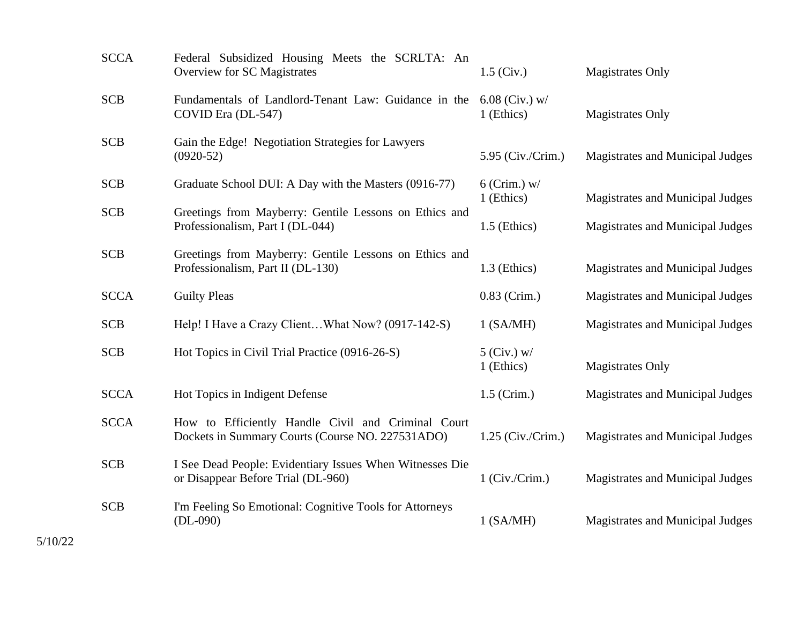| <b>SCCA</b> | Federal Subsidized Housing Meets the SCRLTA: An<br>Overview for SC Magistrates                         | $1.5$ (Civ.)                   | <b>Magistrates Only</b>          |
|-------------|--------------------------------------------------------------------------------------------------------|--------------------------------|----------------------------------|
| <b>SCB</b>  | Fundamentals of Landlord-Tenant Law: Guidance in the<br>COVID Era (DL-547)                             | $6.08$ (Civ.) w/<br>1 (Ethics) | <b>Magistrates Only</b>          |
| <b>SCB</b>  | Gain the Edge! Negotiation Strategies for Lawyers<br>$(0920-52)$                                       | 5.95 (Civ./Crim.)              | Magistrates and Municipal Judges |
| <b>SCB</b>  | Graduate School DUI: A Day with the Masters (0916-77)                                                  | $6$ (Crim.) w/<br>1 (Ethics)   | Magistrates and Municipal Judges |
| <b>SCB</b>  | Greetings from Mayberry: Gentile Lessons on Ethics and<br>Professionalism, Part I (DL-044)             | 1.5 (Ethics)                   | Magistrates and Municipal Judges |
| <b>SCB</b>  | Greetings from Mayberry: Gentile Lessons on Ethics and<br>Professionalism, Part II (DL-130)            | 1.3 (Ethics)                   | Magistrates and Municipal Judges |
| <b>SCCA</b> | <b>Guilty Pleas</b>                                                                                    | $0.83$ (Crim.)                 | Magistrates and Municipal Judges |
| <b>SCB</b>  | Help! I Have a Crazy ClientWhat Now? (0917-142-S)                                                      | $1$ (SA/MH)                    | Magistrates and Municipal Judges |
| <b>SCB</b>  | Hot Topics in Civil Trial Practice (0916-26-S)                                                         | $5$ (Civ.) w/<br>1 (Ethics)    | <b>Magistrates Only</b>          |
| <b>SCCA</b> | Hot Topics in Indigent Defense                                                                         | $1.5$ (Crim.)                  | Magistrates and Municipal Judges |
| <b>SCCA</b> | How to Efficiently Handle Civil and Criminal Court<br>Dockets in Summary Courts (Course NO. 227531ADO) | $1.25$ (Civ./Crim.)            | Magistrates and Municipal Judges |
| <b>SCB</b>  | I See Dead People: Evidentiary Issues When Witnesses Die<br>or Disappear Before Trial (DL-960)         | $1$ (Civ./Crim.)               | Magistrates and Municipal Judges |
| <b>SCB</b>  | I'm Feeling So Emotional: Cognitive Tools for Attorneys<br>$(DL-090)$                                  | $1$ (SA/MH)                    | Magistrates and Municipal Judges |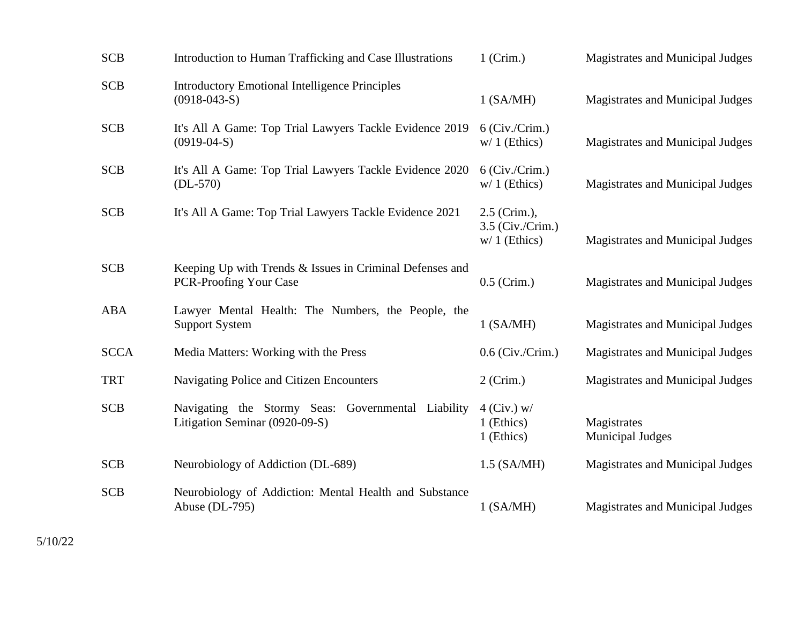| <b>SCB</b>  | Introduction to Human Trafficking and Case Illustrations                             | $1$ (Crim.)                                          | Magistrates and Municipal Judges       |
|-------------|--------------------------------------------------------------------------------------|------------------------------------------------------|----------------------------------------|
| <b>SCB</b>  | <b>Introductory Emotional Intelligence Principles</b><br>$(0918-043-S)$              | 1 (SA/MH)                                            | Magistrates and Municipal Judges       |
| <b>SCB</b>  | It's All A Game: Top Trial Lawyers Tackle Evidence 2019<br>$(0919-04-S)$             | $6$ (Civ./Crim.)<br>$w/1$ (Ethics)                   | Magistrates and Municipal Judges       |
| <b>SCB</b>  | It's All A Game: Top Trial Lawyers Tackle Evidence 2020<br>$(DL-570)$                | $6$ (Civ./Crim.)<br>$w/1$ (Ethics)                   | Magistrates and Municipal Judges       |
| <b>SCB</b>  | It's All A Game: Top Trial Lawyers Tackle Evidence 2021                              | 2.5 (Crim.),<br>$3.5$ (Civ./Crim.)<br>$w/1$ (Ethics) | Magistrates and Municipal Judges       |
| <b>SCB</b>  | Keeping Up with Trends & Issues in Criminal Defenses and<br>PCR-Proofing Your Case   | $0.5$ (Crim.)                                        | Magistrates and Municipal Judges       |
| <b>ABA</b>  | Lawyer Mental Health: The Numbers, the People, the<br><b>Support System</b>          | $1$ (SA/MH)                                          | Magistrates and Municipal Judges       |
| <b>SCCA</b> | Media Matters: Working with the Press                                                | $0.6$ (Civ./Crim.)                                   | Magistrates and Municipal Judges       |
| <b>TRT</b>  | Navigating Police and Citizen Encounters                                             | $2$ (Crim.)                                          | Magistrates and Municipal Judges       |
| <b>SCB</b>  | Navigating the Stormy Seas: Governmental Liability<br>Litigation Seminar (0920-09-S) | $4$ (Civ.) w/<br>1 (Ethics)<br>1 (Ethics)            | Magistrates<br><b>Municipal Judges</b> |
| <b>SCB</b>  | Neurobiology of Addiction (DL-689)                                                   | $1.5$ (SA/MH)                                        | Magistrates and Municipal Judges       |
| <b>SCB</b>  | Neurobiology of Addiction: Mental Health and Substance<br>Abuse (DL-795)             | $1$ (SA/MH)                                          | Magistrates and Municipal Judges       |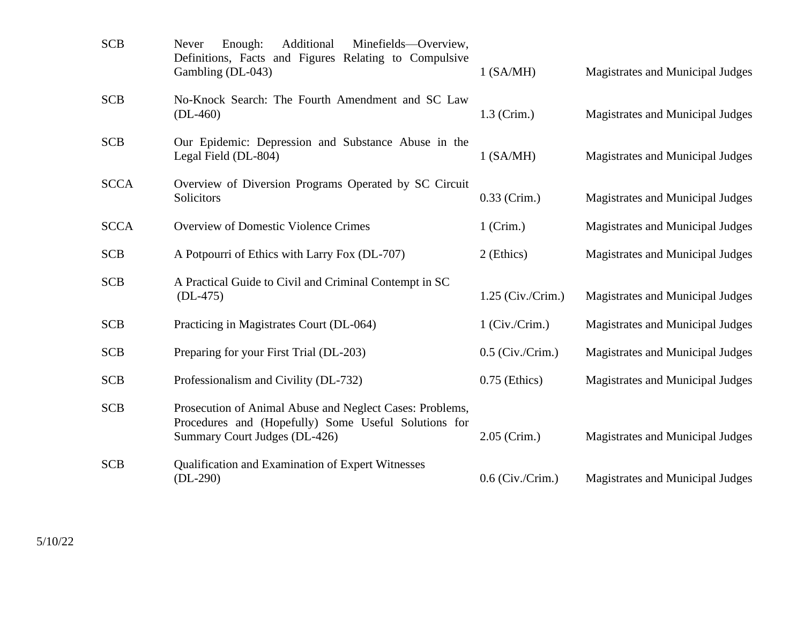| <b>SCB</b>  | Additional<br>Enough:<br>Minefields—Overview,<br>Never<br>Definitions, Facts and Figures Relating to Compulsive<br>Gambling (DL-043)              | $1$ (SA/MH)         | Magistrates and Municipal Judges        |
|-------------|---------------------------------------------------------------------------------------------------------------------------------------------------|---------------------|-----------------------------------------|
| <b>SCB</b>  | No-Knock Search: The Fourth Amendment and SC Law<br>$(DL-460)$                                                                                    | $1.3$ (Crim.)       | <b>Magistrates and Municipal Judges</b> |
| <b>SCB</b>  | Our Epidemic: Depression and Substance Abuse in the<br>Legal Field (DL-804)                                                                       | $1$ (SA/MH)         | Magistrates and Municipal Judges        |
| <b>SCCA</b> | Overview of Diversion Programs Operated by SC Circuit<br>Solicitors                                                                               | $0.33$ (Crim.)      | Magistrates and Municipal Judges        |
| <b>SCCA</b> | <b>Overview of Domestic Violence Crimes</b>                                                                                                       | $1$ (Crim.)         | <b>Magistrates and Municipal Judges</b> |
| <b>SCB</b>  | A Potpourri of Ethics with Larry Fox (DL-707)                                                                                                     | 2 (Ethics)          | Magistrates and Municipal Judges        |
| <b>SCB</b>  | A Practical Guide to Civil and Criminal Contempt in SC<br>$(DL-475)$                                                                              | $1.25$ (Civ./Crim.) | Magistrates and Municipal Judges        |
| <b>SCB</b>  | Practicing in Magistrates Court (DL-064)                                                                                                          | $1$ (Civ./Crim.)    | <b>Magistrates and Municipal Judges</b> |
| <b>SCB</b>  | Preparing for your First Trial (DL-203)                                                                                                           | $0.5$ (Civ./Crim.)  | Magistrates and Municipal Judges        |
| <b>SCB</b>  | Professionalism and Civility (DL-732)                                                                                                             | $0.75$ (Ethics)     | <b>Magistrates and Municipal Judges</b> |
| <b>SCB</b>  | Prosecution of Animal Abuse and Neglect Cases: Problems,<br>Procedures and (Hopefully) Some Useful Solutions for<br>Summary Court Judges (DL-426) | $2.05$ (Crim.)      | Magistrates and Municipal Judges        |
| <b>SCB</b>  | Qualification and Examination of Expert Witnesses<br>$(DL-290)$                                                                                   | $0.6$ (Civ./Crim.)  | Magistrates and Municipal Judges        |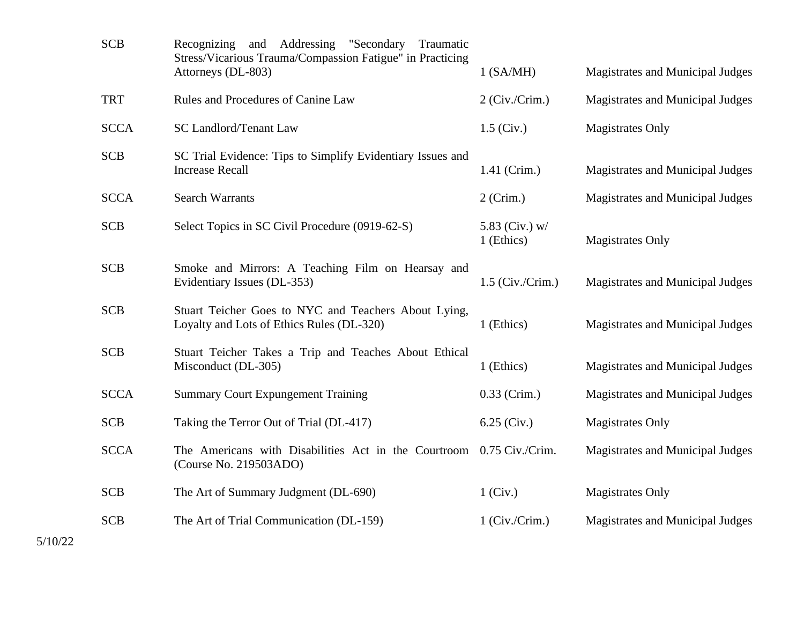| <b>SCB</b>  | Addressing<br>"Secondary<br>Recognizing<br>and<br>Traumatic<br>Stress/Vicarious Trauma/Compassion Fatigue" in Practicing<br>Attorneys (DL-803) | 1 (SA/MH)                    | Magistrates and Municipal Judges        |
|-------------|------------------------------------------------------------------------------------------------------------------------------------------------|------------------------------|-----------------------------------------|
| <b>TRT</b>  | Rules and Procedures of Canine Law                                                                                                             | $2$ (Civ./Crim.)             | Magistrates and Municipal Judges        |
| <b>SCCA</b> | <b>SC Landlord/Tenant Law</b>                                                                                                                  | $1.5$ (Civ.)                 | <b>Magistrates Only</b>                 |
| <b>SCB</b>  | SC Trial Evidence: Tips to Simplify Evidentiary Issues and<br><b>Increase Recall</b>                                                           | 1.41 (Crim.)                 | Magistrates and Municipal Judges        |
| <b>SCCA</b> | <b>Search Warrants</b>                                                                                                                         | $2$ (Crim.)                  | Magistrates and Municipal Judges        |
| <b>SCB</b>  | Select Topics in SC Civil Procedure (0919-62-S)                                                                                                | 5.83 (Civ.) w/<br>1 (Ethics) | <b>Magistrates Only</b>                 |
| <b>SCB</b>  | Smoke and Mirrors: A Teaching Film on Hearsay and<br>Evidentiary Issues (DL-353)                                                               | $1.5$ (Civ./Crim.)           | <b>Magistrates and Municipal Judges</b> |
| <b>SCB</b>  | Stuart Teicher Goes to NYC and Teachers About Lying,<br>Loyalty and Lots of Ethics Rules (DL-320)                                              | 1 (Ethics)                   | Magistrates and Municipal Judges        |
| <b>SCB</b>  | Stuart Teicher Takes a Trip and Teaches About Ethical<br>Misconduct (DL-305)                                                                   | 1 (Ethics)                   | Magistrates and Municipal Judges        |
| <b>SCCA</b> | <b>Summary Court Expungement Training</b>                                                                                                      | $0.33$ (Crim.)               | Magistrates and Municipal Judges        |
| <b>SCB</b>  | Taking the Terror Out of Trial (DL-417)                                                                                                        | $6.25$ (Civ.)                | <b>Magistrates Only</b>                 |
| <b>SCCA</b> | The Americans with Disabilities Act in the Courtroom 0.75 Civ./Crim.<br>(Course No. 219503ADO)                                                 |                              | Magistrates and Municipal Judges        |
| <b>SCB</b>  | The Art of Summary Judgment (DL-690)                                                                                                           | $1$ (Civ.)                   | <b>Magistrates Only</b>                 |
| <b>SCB</b>  | The Art of Trial Communication (DL-159)                                                                                                        | $1$ (Civ./Crim.)             | Magistrates and Municipal Judges        |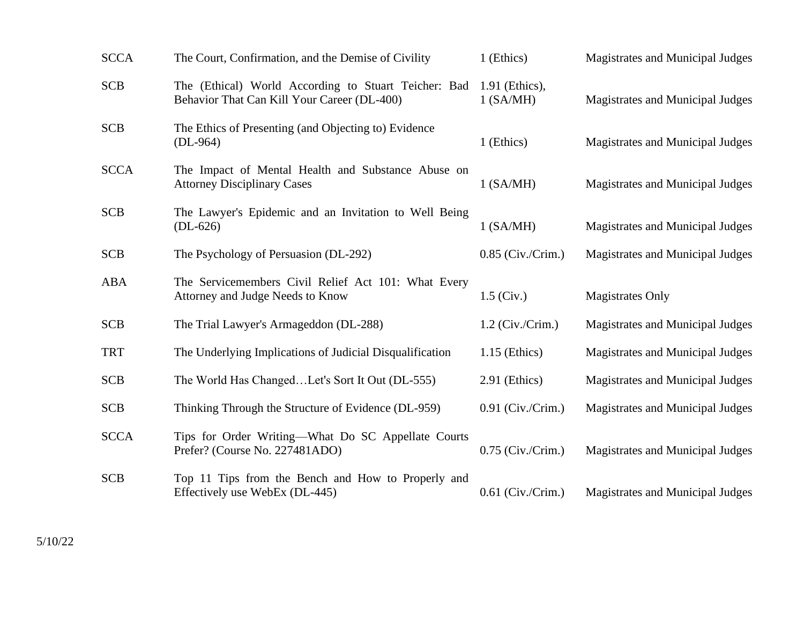| <b>SCCA</b> | The Court, Confirmation, and the Demise of Civility                                                 | 1 (Ethics)                    | Magistrates and Municipal Judges        |
|-------------|-----------------------------------------------------------------------------------------------------|-------------------------------|-----------------------------------------|
| <b>SCB</b>  | The (Ethical) World According to Stuart Teicher: Bad<br>Behavior That Can Kill Your Career (DL-400) | 1.91 (Ethics),<br>$1$ (SA/MH) | Magistrates and Municipal Judges        |
| <b>SCB</b>  | The Ethics of Presenting (and Objecting to) Evidence<br>$(DL-964)$                                  | 1 (Ethics)                    | Magistrates and Municipal Judges        |
| <b>SCCA</b> | The Impact of Mental Health and Substance Abuse on<br><b>Attorney Disciplinary Cases</b>            | $1$ (SA/MH)                   | Magistrates and Municipal Judges        |
| <b>SCB</b>  | The Lawyer's Epidemic and an Invitation to Well Being<br>$(DL-626)$                                 | 1 (SA/MH)                     | Magistrates and Municipal Judges        |
| <b>SCB</b>  | The Psychology of Persuasion (DL-292)                                                               | $0.85$ (Civ./Crim.)           | <b>Magistrates and Municipal Judges</b> |
| <b>ABA</b>  | The Servicemembers Civil Relief Act 101: What Every                                                 |                               |                                         |
|             | Attorney and Judge Needs to Know                                                                    | $1.5$ (Civ.)                  | <b>Magistrates Only</b>                 |
| <b>SCB</b>  | The Trial Lawyer's Armageddon (DL-288)                                                              | $1.2$ (Civ./Crim.)            | Magistrates and Municipal Judges        |
| <b>TRT</b>  | The Underlying Implications of Judicial Disqualification                                            | $1.15$ (Ethics)               | Magistrates and Municipal Judges        |
| <b>SCB</b>  | The World Has ChangedLet's Sort It Out (DL-555)                                                     | $2.91$ (Ethics)               | <b>Magistrates and Municipal Judges</b> |
| <b>SCB</b>  | Thinking Through the Structure of Evidence (DL-959)                                                 | $0.91$ (Civ./Crim.)           | <b>Magistrates and Municipal Judges</b> |
| <b>SCCA</b> | Tips for Order Writing-What Do SC Appellate Courts<br>Prefer? (Course No. 227481ADO)                | $0.75$ (Civ./Crim.)           | Magistrates and Municipal Judges        |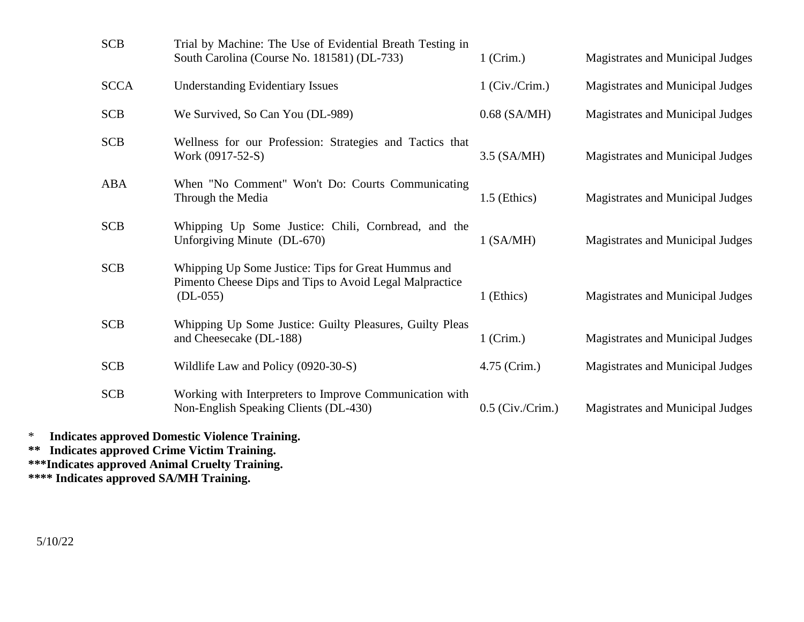| <b>SCB</b>  | Trial by Machine: The Use of Evidential Breath Testing in<br>South Carolina (Course No. 181581) (DL-733)                     | $1$ (Crim.)        | Magistrates and Municipal Judges |
|-------------|------------------------------------------------------------------------------------------------------------------------------|--------------------|----------------------------------|
| <b>SCCA</b> | <b>Understanding Evidentiary Issues</b>                                                                                      | $1$ (Civ./Crim.)   | Magistrates and Municipal Judges |
| <b>SCB</b>  | We Survived, So Can You (DL-989)                                                                                             | $0.68$ (SA/MH)     | Magistrates and Municipal Judges |
| <b>SCB</b>  | Wellness for our Profession: Strategies and Tactics that<br>Work (0917-52-S)                                                 | 3.5 (SA/MH)        | Magistrates and Municipal Judges |
| <b>ABA</b>  | When "No Comment" Won't Do: Courts Communicating<br>Through the Media                                                        | 1.5 (Ethics)       | Magistrates and Municipal Judges |
| <b>SCB</b>  | Whipping Up Some Justice: Chili, Cornbread, and the<br>Unforgiving Minute (DL-670)                                           | $1$ (SA/MH)        | Magistrates and Municipal Judges |
| <b>SCB</b>  | Whipping Up Some Justice: Tips for Great Hummus and<br>Pimento Cheese Dips and Tips to Avoid Legal Malpractice<br>$(DL-055)$ | 1 (Ethics)         | Magistrates and Municipal Judges |
| <b>SCB</b>  | Whipping Up Some Justice: Guilty Pleasures, Guilty Pleas<br>and Cheesecake (DL-188)                                          | $1$ (Crim.)        | Magistrates and Municipal Judges |
| <b>SCB</b>  | Wildlife Law and Policy (0920-30-S)                                                                                          | 4.75 (Crim.)       | Magistrates and Municipal Judges |
| <b>SCB</b>  | Working with Interpreters to Improve Communication with<br>Non-English Speaking Clients (DL-430)                             | $0.5$ (Civ./Crim.) | Magistrates and Municipal Judges |

\* **Indicates approved Domestic Violence Training. \*\* Indicates approved Crime Victim Training.**

**\*\*\*Indicates approved Animal Cruelty Training.**

**\*\*\*\* Indicates approved SA/MH Training.**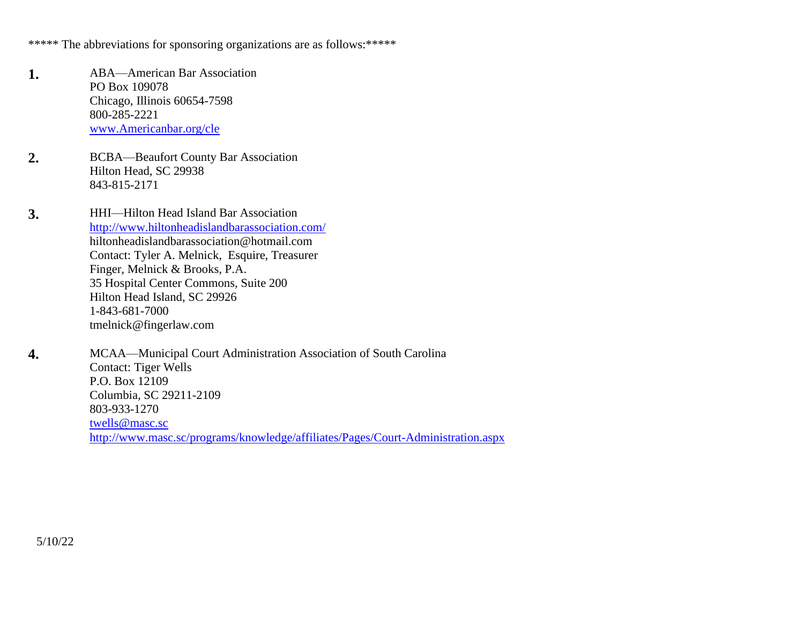\*\*\*\*\* The abbreviations for sponsoring organizations are as follows:\*\*\*\*\*\*

- **1.** ABA—American Bar Association PO Box 109078 Chicago, Illinois 60654-7598 800-285-2221 [www.Americanbar.org/cle](http://www.americanbar.org/cle)
- **2.** BCBA—Beaufort County Bar Association Hilton Head, SC 29938 843-815-2171
- **3.** HHI—Hilton Head Island Bar Association <http://www.hiltonheadislandbarassociation.com/> [hiltonheadislandbarassociation@hotmail.com](mailto:hiltonheadislandbarassociation@hotmail.com)  Contact: Tyler A. Melnick, Esquire, Treasurer Finger, Melnick & Brooks, P.A. 35 Hospital Center Commons, Suite 200 Hilton Head Island, SC 29926 1-843-681-7000 [tmelnick@fingerlaw.com](mailto:tmelnick@fingerlaw.com)
- **4.** MCAA—Municipal Court Administration Association of South Carolina Contact: Tiger Wells P.O. Box 12109 Columbia, SC 29211-2109 803-933-1270 [twells@masc.sc](mailto:twells@masc.sc) <http://www.masc.sc/programs/knowledge/affiliates/Pages/Court-Administration.aspx>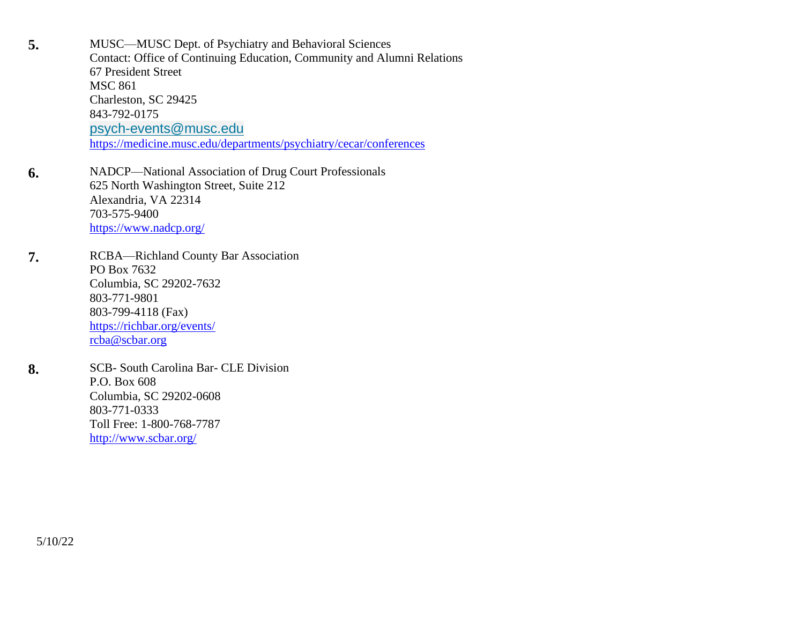**5.** MUSC—MUSC Dept. of Psychiatry and Behavioral Sciences Contact: Office of Continuing Education, Community and Alumni Relations 67 President Street MSC 861 Charleston, SC 29425 843-792-0175 [psych-events@musc.edu](mailto:psych-events@musc.edu) <https://medicine.musc.edu/departments/psychiatry/cecar/conferences>

- **6.** NADCP—National Association of Drug Court Professionals 625 North Washington Street, Suite 212 Alexandria, VA 22314 703-575-9400 <https://www.nadcp.org/>
- **7.** RCBA—Richland County Bar Association PO Box 7632 Columbia, SC 29202-7632 803-771-9801 803-799-4118 (Fax) <https://richbar.org/events/> [rcba@scbar.org](mailto:rcba@scbar.org)
- **8.** SCB- South Carolina Bar- CLE Division P.O. Box 608 Columbia, SC 29202-0608 803-771-0333 Toll Free: 1-800-768-7787 <http://www.scbar.org/>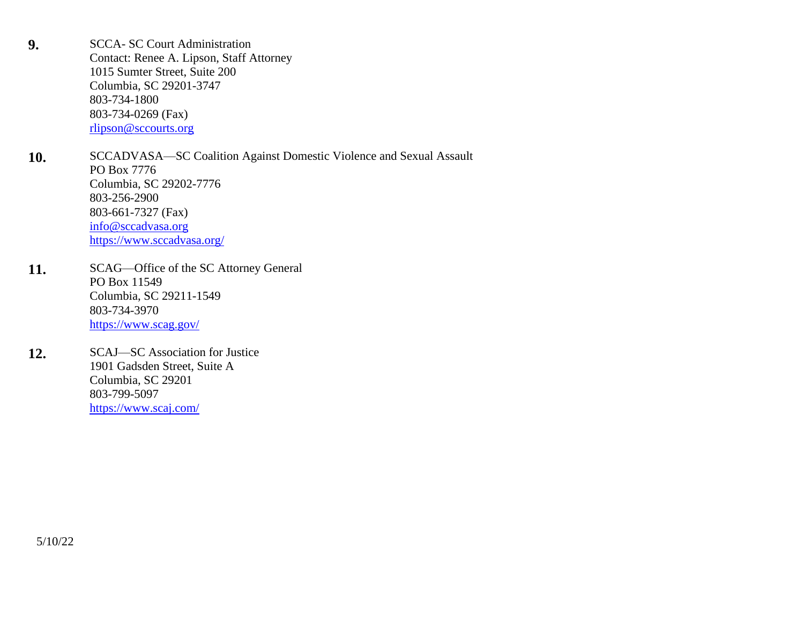**9.** SCCA- SC Court Administration Contact: Renee A. Lipson, Staff Attorney 1015 Sumter Street, Suite 200 Columbia, SC 29201-3747 803-734-1800 803-734-0269 (Fax) [rlipson@sccourts.org](mailto:rlipson@sccourts.org)

10. SCCADVASA—SC Coalition Against Domestic Violence and Sexual Assault PO Box 7776 Columbia, SC 29202-7776 803-256-2900 803-661-7327 (Fax) [info@sccadvasa.org](mailto:info@sccadvasa.org) <https://www.sccadvasa.org/>

- 11. SCAG—Office of the SC Attorney General PO Box 11549 Columbia, SC 29211-1549 803-734-3970 <https://www.scag.gov/>
- 12. SCAJ—SC Association for Justice 1901 Gadsden Street, Suite A Columbia, SC 29201 803-799-5097 <https://www.scaj.com/>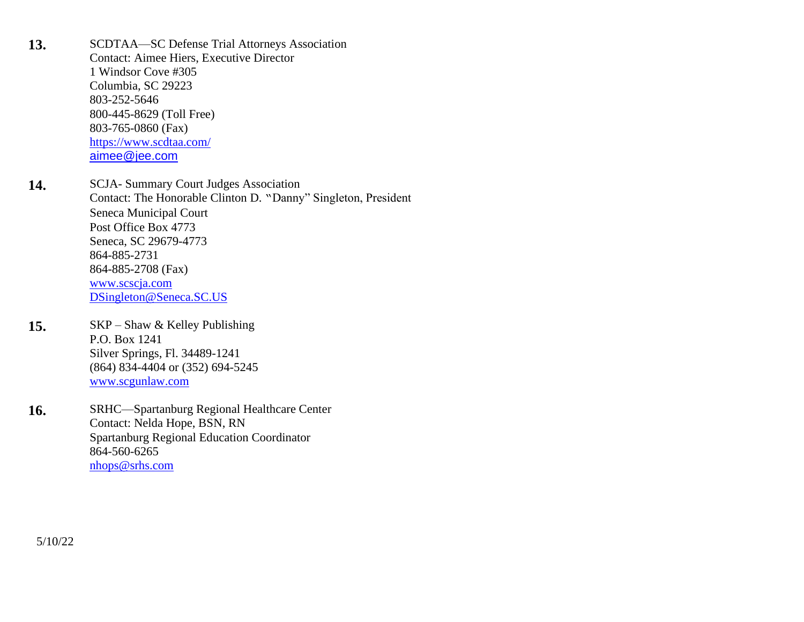13. SCDTAA—SC Defense Trial Attorneys Association Contact: Aimee Hiers, Executive Director 1 Windsor Cove #305 Columbia, SC 29223 803-252-5646 800-445-8629 (Toll Free) 803-765-0860 (Fax) <https://www.scdtaa.com/> [aimee@jee.com](mailto:%0Baimee@jee.com)

14. SCJA- Summary Court Judges Association Contact: The Honorable Clinton D. "Danny" Singleton, President Seneca Municipal Court Post Office Box 4773 Seneca, SC 29679-4773 864-885-2731 864-885-2708 (Fax) [www.scscja.com](http://www.scscja.com/) [DSingleton@Seneca.SC.US](mailto:DSingleton@Seneca.SC.US)

15. SKP – Shaw & Kelley Publishing P.O. Box 1241 Silver Springs, Fl. 34489-1241 (864) 834-4404 or (352) 694-5245 [www.scgunlaw.com](http://www.scgunlaw.com/)

16. SRHC—Spartanburg Regional Healthcare Center Contact: Nelda Hope, BSN, RN Spartanburg Regional Education Coordinator 864-560-6265 [nhops@srhs.com](mailto:nhops@srhs.com)